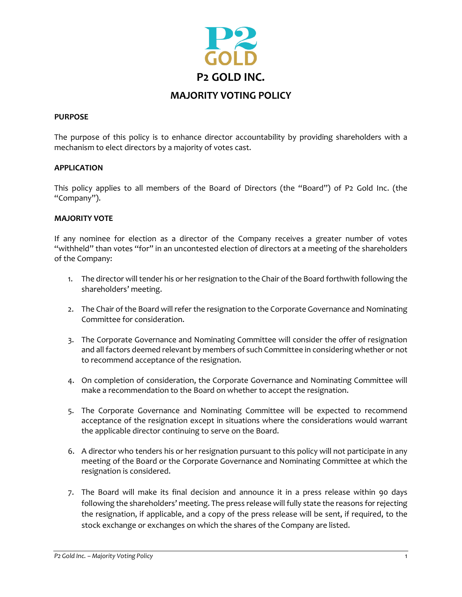

## **PURPOSE**

The purpose of this policy is to enhance director accountability by providing shareholders with a mechanism to elect directors by a majority of votes cast.

## **APPLICATION**

This policy applies to all members of the Board of Directors (the "Board") of P2 Gold Inc. (the "Company").

## **MAJORITY VOTE**

If any nominee for election as a director of the Company receives a greater number of votes "withheld" than votes "for" in an uncontested election of directors at a meeting of the shareholders of the Company:

- 1. The director will tender his or her resignation to the Chair of the Board forthwith following the shareholders' meeting.
- 2. The Chair of the Board will refer the resignation to the Corporate Governance and Nominating Committee for consideration.
- 3. The Corporate Governance and Nominating Committee will consider the offer of resignation and all factors deemed relevant by members of such Committee in considering whether or not to recommend acceptance of the resignation.
- 4. On completion of consideration, the Corporate Governance and Nominating Committee will make a recommendation to the Board on whether to accept the resignation.
- 5. The Corporate Governance and Nominating Committee will be expected to recommend acceptance of the resignation except in situations where the considerations would warrant the applicable director continuing to serve on the Board.
- 6. A director who tenders his or her resignation pursuant to this policy will not participate in any meeting of the Board or the Corporate Governance and Nominating Committee at which the resignation is considered.
- 7. The Board will make its final decision and announce it in a press release within 90 days following the shareholders' meeting. The press release will fully state the reasons for rejecting the resignation, if applicable, and a copy of the press release will be sent, if required, to the stock exchange or exchanges on which the shares of the Company are listed.